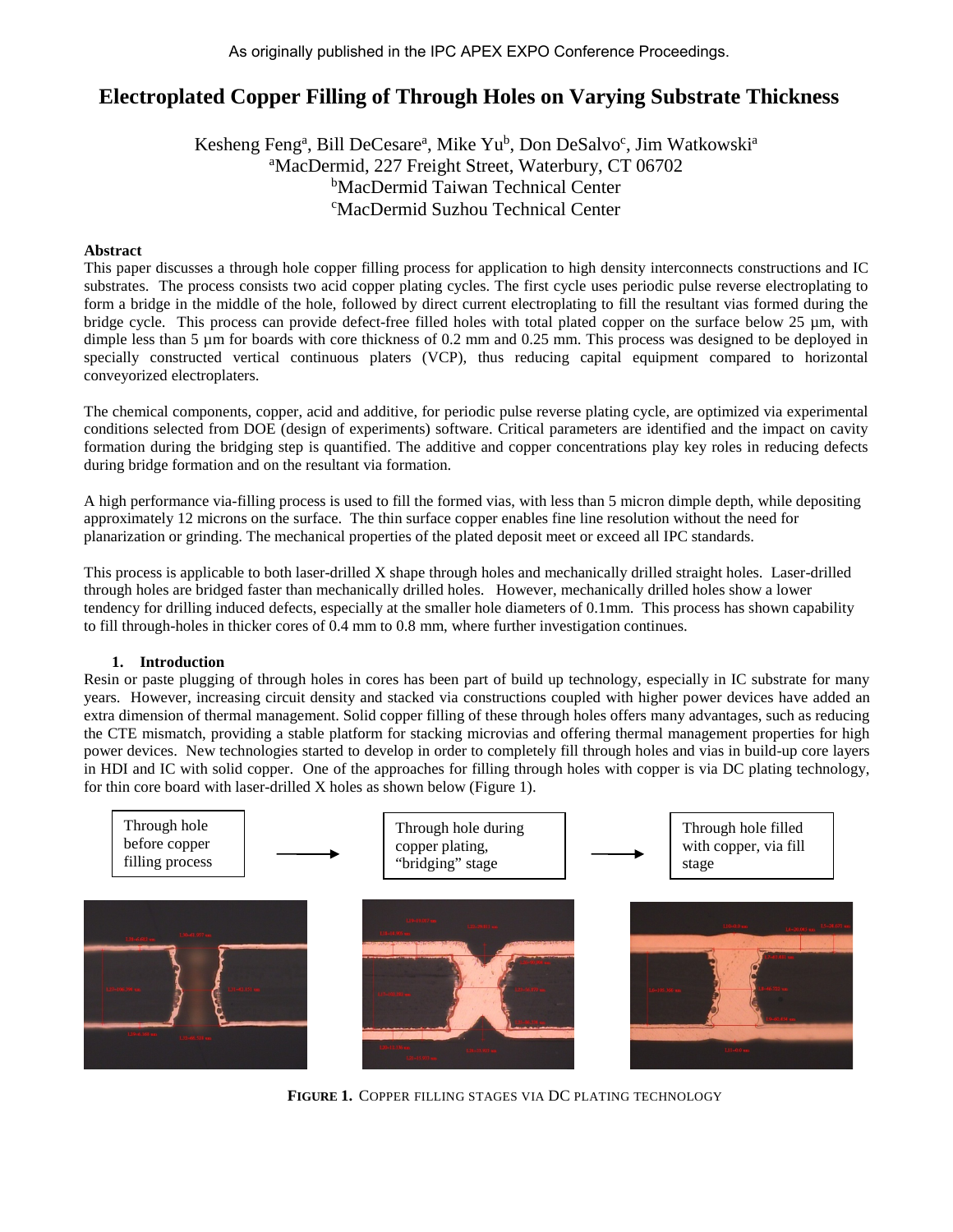# **Electroplated Copper Filling of Through Holes on Varying Substrate Thickness**

Kesheng Feng<sup>a</sup>, Bill DeCesare<sup>a</sup>, Mike Yu<sup>b</sup>, Don DeSalvo<sup>c</sup>, Jim Watkowski<sup>a</sup> a MacDermid, 227 Freight Street, Waterbury, CT 06702 <sup>b</sup>MacDermid Taiwan Technical Center c MacDermid Suzhou Technical Center

## **Abstract**

This paper discusses a through hole copper filling process for application to high density interconnects constructions and IC substrates. The process consists two acid copper plating cycles. The first cycle uses periodic pulse reverse electroplating to form a bridge in the middle of the hole, followed by direct current electroplating to fill the resultant vias formed during the bridge cycle. This process can provide defect-free filled holes with total plated copper on the surface below 25  $\mu$ m, with dimple less than 5  $\mu$ m for boards with core thickness of 0.2 mm and 0.25 mm. This process was designed to be deployed in specially constructed vertical continuous platers (VCP), thus reducing capital equipment compared to horizontal conveyorized electroplaters.

The chemical components, copper, acid and additive, for periodic pulse reverse plating cycle, are optimized via experimental conditions selected from DOE (design of experiments) software. Critical parameters are identified and the impact on cavity formation during the bridging step is quantified. The additive and copper concentrations play key roles in reducing defects during bridge formation and on the resultant via formation.

A high performance via-filling process is used to fill the formed vias, with less than 5 micron dimple depth, while depositing approximately 12 microns on the surface. The thin surface copper enables fine line resolution without the need for planarization or grinding. The mechanical properties of the plated deposit meet or exceed all IPC standards.

This process is applicable to both laser-drilled X shape through holes and mechanically drilled straight holes. Laser-drilled through holes are bridged faster than mechanically drilled holes. However, mechanically drilled holes show a lower tendency for drilling induced defects, especially at the smaller hole diameters of 0.1mm. This process has shown capability to fill through-holes in thicker cores of 0.4 mm to 0.8 mm, where further investigation continues.

# **1. Introduction**

Resin or paste plugging of through holes in cores has been part of build up technology, especially in IC substrate for many years. However, increasing circuit density and stacked via constructions coupled with higher power devices have added an extra dimension of thermal management. Solid copper filling of these through holes offers many advantages, such as reducing the CTE mismatch, providing a stable platform for stacking microvias and offering thermal management properties for high power devices. New technologies started to develop in order to completely fill through holes and vias in build-up core layers in HDI and IC with solid copper. One of the approaches for filling through holes with copper is via DC plating technology, for thin core board with laser-drilled X holes as shown below (Figure 1).



**FIGURE 1.** COPPER FILLING STAGES VIA DC PLATING TECHNOLOGY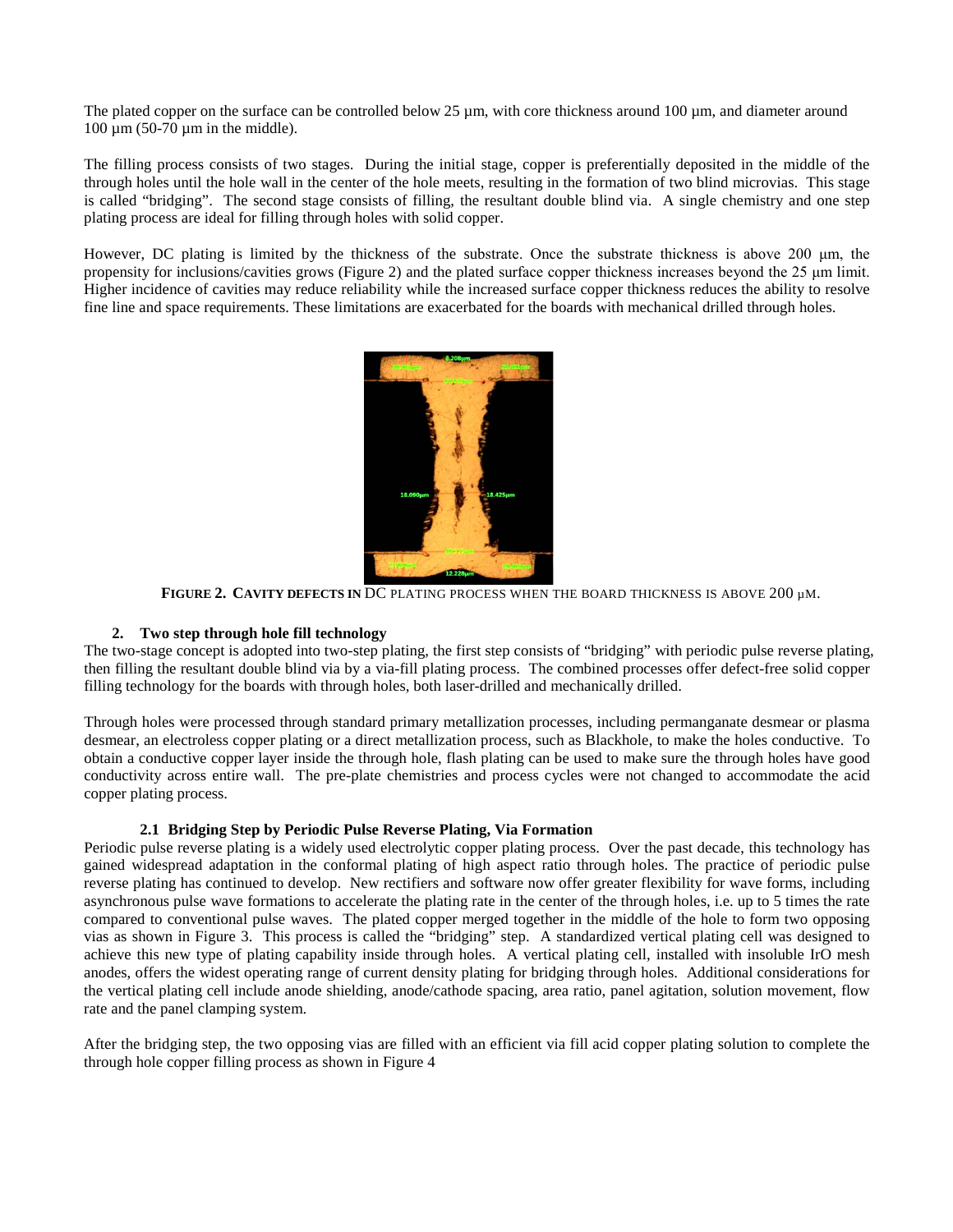The plated copper on the surface can be controlled below 25  $\mu$ m, with core thickness around 100  $\mu$ m, and diameter around 100 μm (50-70 μm in the middle).

The filling process consists of two stages. During the initial stage, copper is preferentially deposited in the middle of the through holes until the hole wall in the center of the hole meets, resulting in the formation of two blind microvias. This stage is called "bridging". The second stage consists of filling, the resultant double blind via. A single chemistry and one step plating process are ideal for filling through holes with solid copper.

However, DC plating is limited by the thickness of the substrate. Once the substrate thickness is above 200 μm, the propensity for inclusions/cavities grows (Figure 2) and the plated surface copper thickness increases beyond the 25 μm limit. Higher incidence of cavities may reduce reliability while the increased surface copper thickness reduces the ability to resolve fine line and space requirements. These limitations are exacerbated for the boards with mechanical drilled through holes.



**FIGURE 2. CAVITY DEFECTS IN** DC PLATING PROCESS WHEN THE BOARD THICKNESS IS ABOVE 200 µM.

# **2. Two step through hole fill technology**

The two-stage concept is adopted into two-step plating, the first step consists of "bridging" with periodic pulse reverse plating, then filling the resultant double blind via by a via-fill plating process. The combined processes offer defect-free solid copper filling technology for the boards with through holes, both laser-drilled and mechanically drilled.

Through holes were processed through standard primary metallization processes, including permanganate desmear or plasma desmear, an electroless copper plating or a direct metallization process, such as Blackhole, to make the holes conductive. To obtain a conductive copper layer inside the through hole, flash plating can be used to make sure the through holes have good conductivity across entire wall. The pre-plate chemistries and process cycles were not changed to accommodate the acid copper plating process.

# **2.1 Bridging Step by Periodic Pulse Reverse Plating, Via Formation**

Periodic pulse reverse plating is a widely used electrolytic copper plating process. Over the past decade, this technology has gained widespread adaptation in the conformal plating of high aspect ratio through holes. The practice of periodic pulse reverse plating has continued to develop. New rectifiers and software now offer greater flexibility for wave forms, including asynchronous pulse wave formations to accelerate the plating rate in the center of the through holes, i.e. up to 5 times the rate compared to conventional pulse waves. The plated copper merged together in the middle of the hole to form two opposing vias as shown in Figure 3. This process is called the "bridging" step. A standardized vertical plating cell was designed to achieve this new type of plating capability inside through holes. A vertical plating cell, installed with insoluble IrO mesh anodes, offers the widest operating range of current density plating for bridging through holes. Additional considerations for the vertical plating cell include anode shielding, anode/cathode spacing, area ratio, panel agitation, solution movement, flow rate and the panel clamping system.

After the bridging step, the two opposing vias are filled with an efficient via fill acid copper plating solution to complete the through hole copper filling process as shown in Figure 4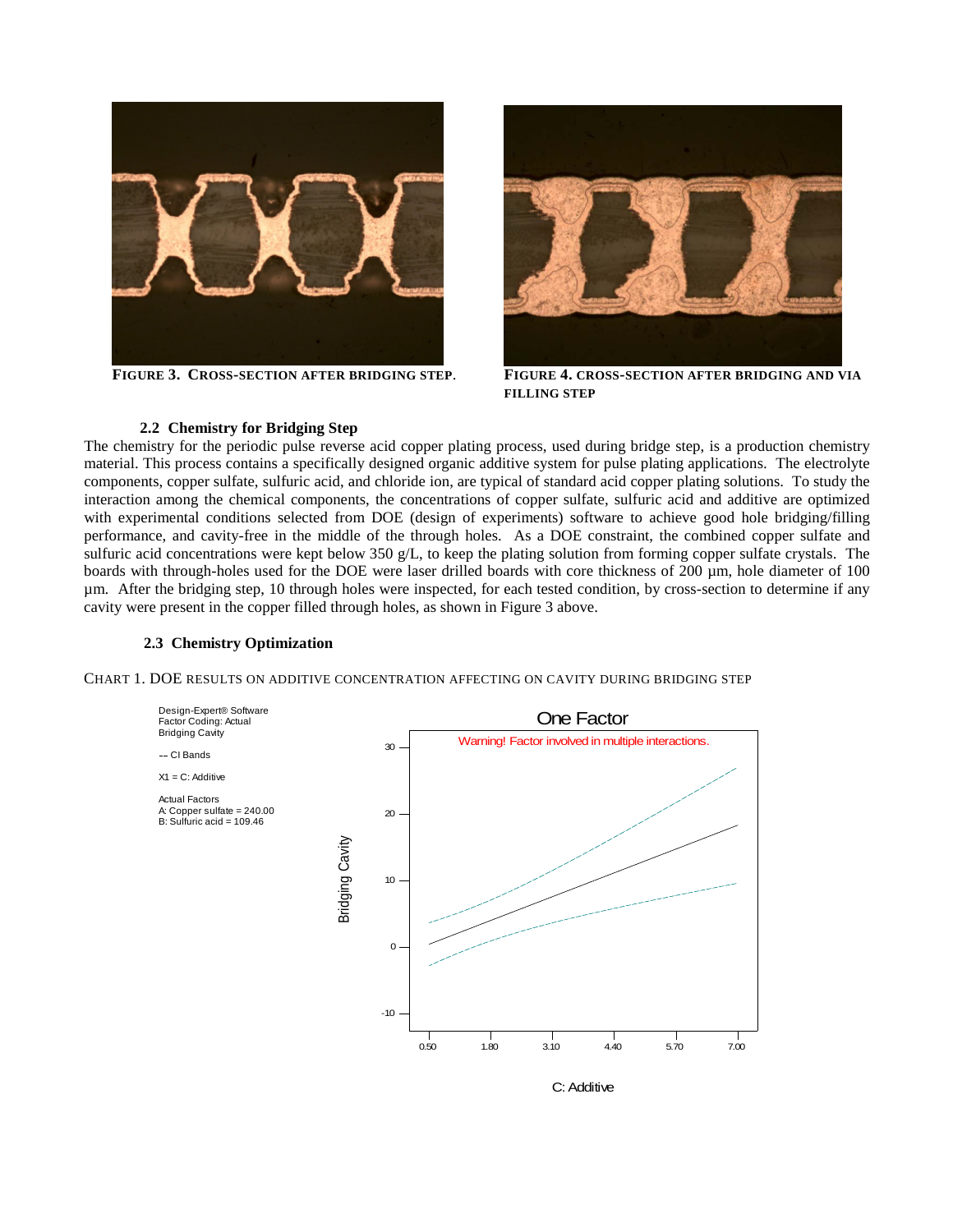



**FIGURE 3. CROSS-SECTION AFTER BRIDGING STEP**. **FIGURE 4. CROSS-SECTION AFTER BRIDGING AND VIA FILLING STEP** 

## **2.2 Chemistry for Bridging Step**

The chemistry for the periodic pulse reverse acid copper plating process, used during bridge step, is a production chemistry material. This process contains a specifically designed organic additive system for pulse plating applications. The electrolyte components, copper sulfate, sulfuric acid, and chloride ion, are typical of standard acid copper plating solutions. To study the interaction among the chemical components, the concentrations of copper sulfate, sulfuric acid and additive are optimized with experimental conditions selected from DOE (design of experiments) software to achieve good hole bridging/filling performance, and cavity-free in the middle of the through holes. As a DOE constraint, the combined copper sulfate and sulfuric acid concentrations were kept below 350 g/L, to keep the plating solution from forming copper sulfate crystals. The boards with through-holes used for the DOE were laser drilled boards with core thickness of 200  $\mu$ m, hole diameter of 100 µm. After the bridging step, 10 through holes were inspected, for each tested condition, by cross-section to determine if any cavity were present in the copper filled through holes, as shown in Figure 3 above.

#### **2.3 Chemistry Optimization**

CHART 1. DOE RESULTS ON ADDITIVE CONCENTRATION AFFECTING ON CAVITY DURING BRIDGING STEP



C: Additive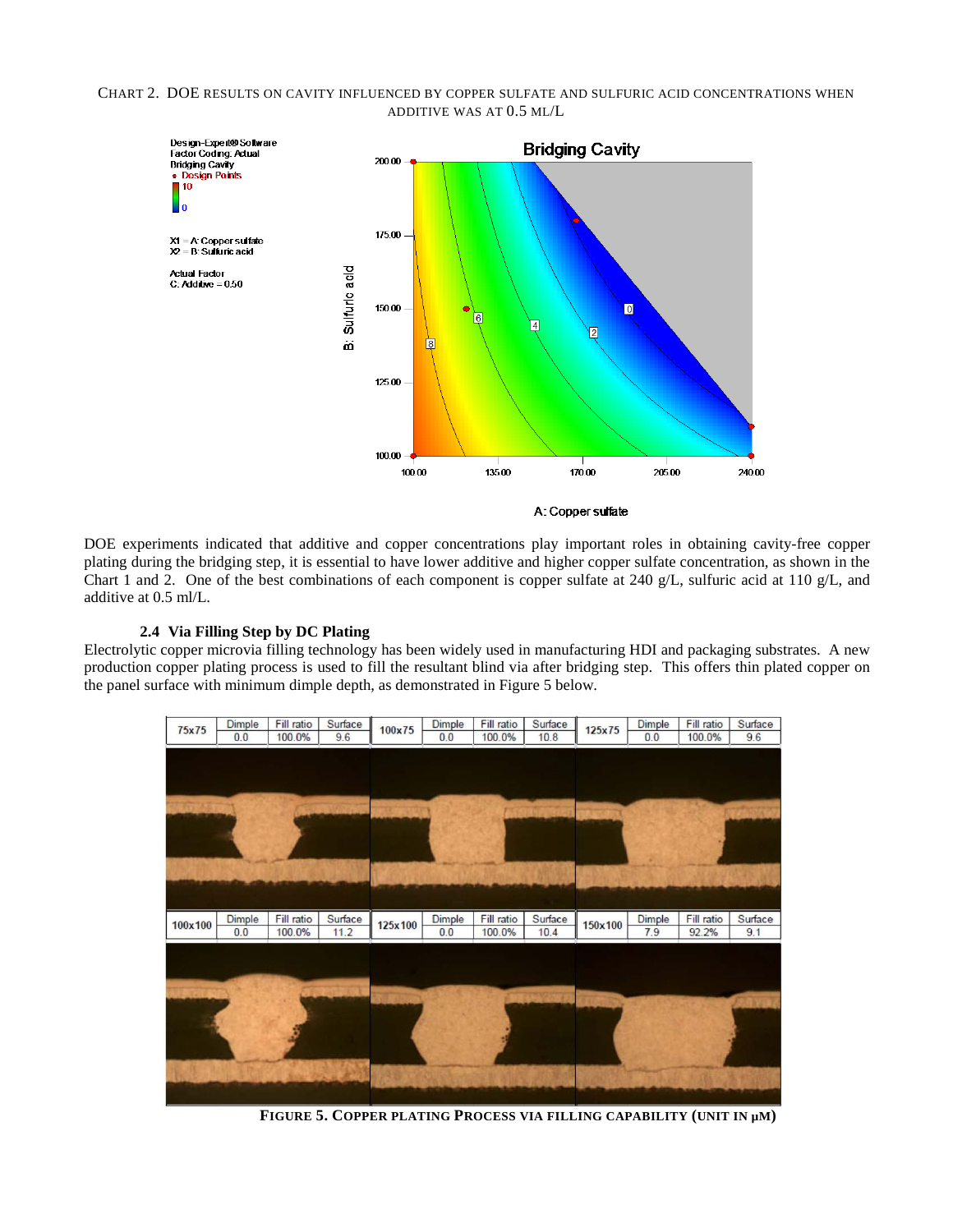#### CHART 2. DOE RESULTS ON CAVITY INFLUENCED BY COPPER SULFATE AND SULFURIC ACID CONCENTRATIONS WHEN ADDITIVE WAS AT 0.5 ML/L



A: Copper sulfate

DOE experiments indicated that additive and copper concentrations play important roles in obtaining cavity-free copper plating during the bridging step, it is essential to have lower additive and higher copper sulfate concentration, as shown in the Chart 1 and 2. One of the best combinations of each component is copper sulfate at 240 g/L, sulfuric acid at 110 g/L, and additive at 0.5 ml/L.

# **2.4 Via Filling Step by DC Plating**

Electrolytic copper microvia filling technology has been widely used in manufacturing HDI and packaging substrates. A new production copper plating process is used to fill the resultant blind via after bridging step. This offers thin plated copper on the panel surface with minimum dimple depth, as demonstrated in Figure 5 below.



**FIGURE 5. COPPER PLATING PROCESS VIA FILLING CAPABILITY (UNIT IN µM)**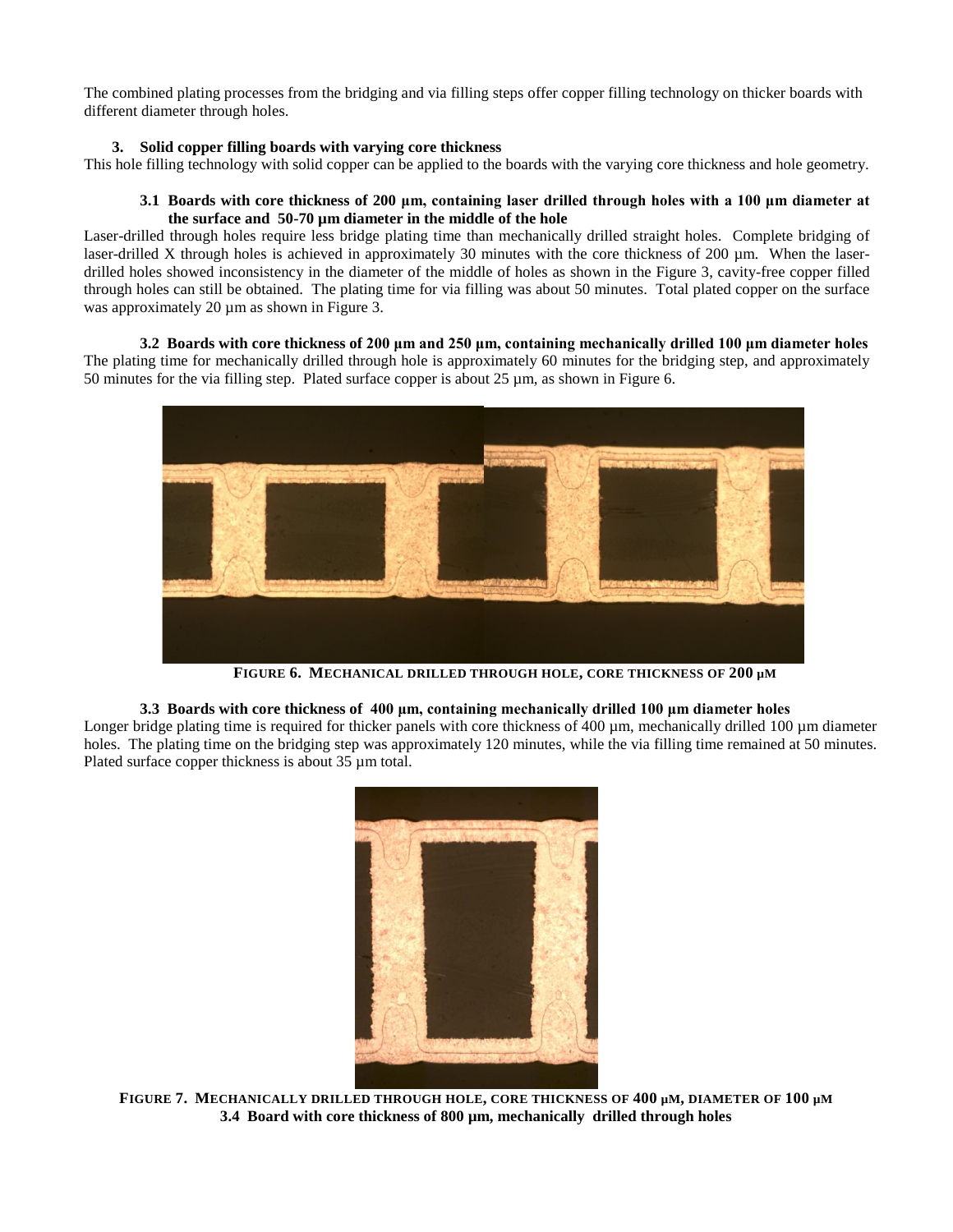The combined plating processes from the bridging and via filling steps offer copper filling technology on thicker boards with different diameter through holes.

## **3. Solid copper filling boards with varying core thickness**

This hole filling technology with solid copper can be applied to the boards with the varying core thickness and hole geometry.

## **3.1 Boards with core thickness of 200 μm, containing laser drilled through holes with a 100 μm diameter at the surface and 50-70 µm diameter in the middle of the hole**

Laser-drilled through holes require less bridge plating time than mechanically drilled straight holes. Complete bridging of laser-drilled X through holes is achieved in approximately 30 minutes with the core thickness of 200 µm. When the laserdrilled holes showed inconsistency in the diameter of the middle of holes as shown in the Figure 3, cavity-free copper filled through holes can still be obtained. The plating time for via filling was about 50 minutes. Total plated copper on the surface was approximately 20  $\mu$ m as shown in Figure 3.

**3.2 Boards with core thickness of 200 μm and 250 μm, containing mechanically drilled 100 μm diameter holes** The plating time for mechanically drilled through hole is approximately 60 minutes for the bridging step, and approximately 50 minutes for the via filling step. Plated surface copper is about 25 µm, as shown in Figure 6.



**FIGURE 6. MECHANICAL DRILLED THROUGH HOLE, CORE THICKNESS OF 200 µM**

**3.3 Boards with core thickness of 400 μm, containing mechanically drilled 100 μm diameter holes**  Longer bridge plating time is required for thicker panels with core thickness of 400 µm, mechanically drilled 100 µm diameter

holes. The plating time on the bridging step was approximately 120 minutes, while the via filling time remained at 50 minutes. Plated surface copper thickness is about 35  $\mu$ m total.



**FIGURE 7. MECHANICALLY DRILLED THROUGH HOLE, CORE THICKNESS OF 400 µM, DIAMETER OF 100 µM 3.4 Board with core thickness of 800 µm, mechanically drilled through holes**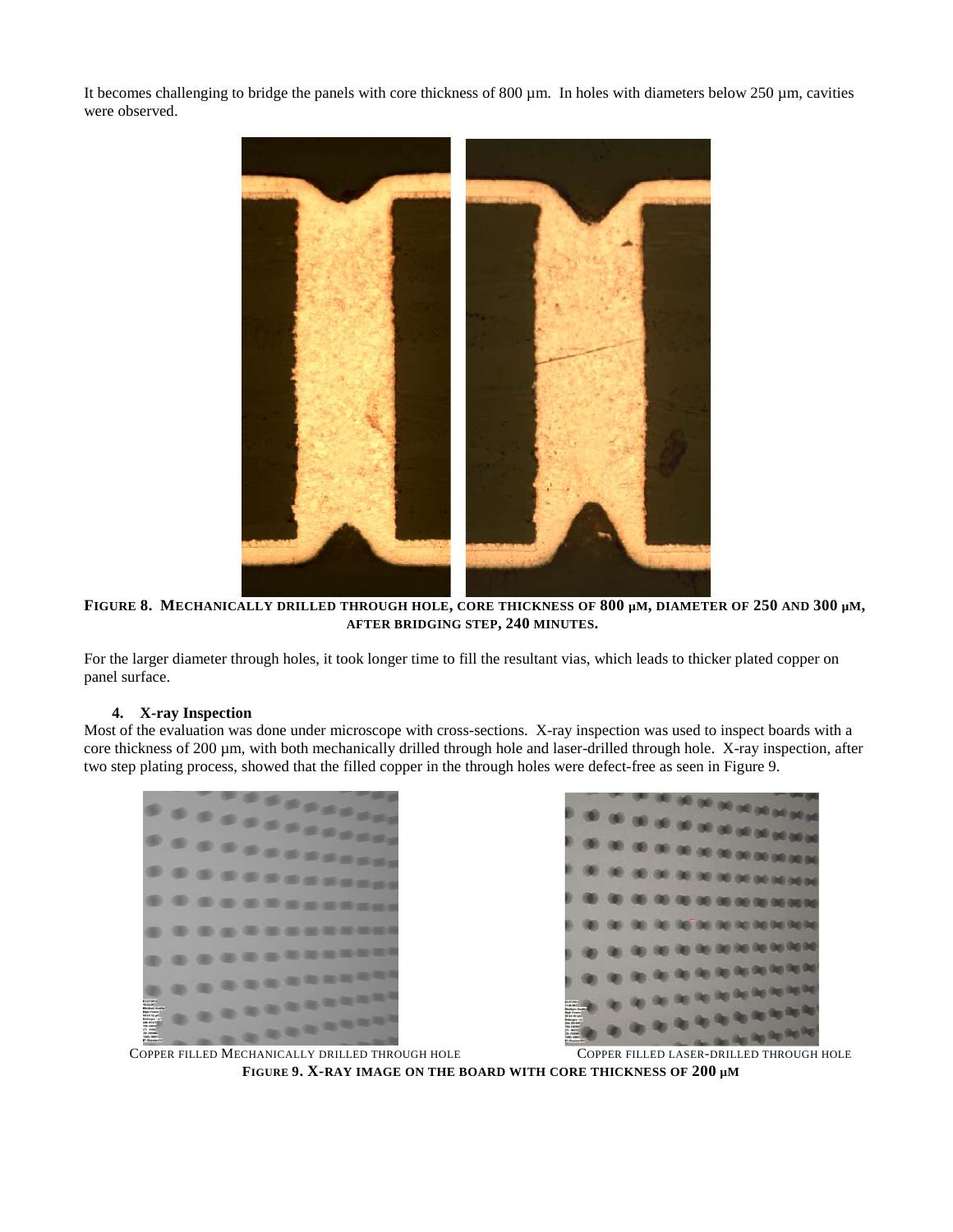It becomes challenging to bridge the panels with core thickness of 800  $\mu$ m. In holes with diameters below 250  $\mu$ m, cavities were observed.



**FIGURE 8. MECHANICALLY DRILLED THROUGH HOLE, CORE THICKNESS OF 800 µM, DIAMETER OF 250 AND 300 µM, AFTER BRIDGING STEP, 240 MINUTES.** 

For the larger diameter through holes, it took longer time to fill the resultant vias, which leads to thicker plated copper on panel surface.

# **4. X-ray Inspection**

Most of the evaluation was done under microscope with cross-sections. X-ray inspection was used to inspect boards with a core thickness of 200 µm, with both mechanically drilled through hole and laser-drilled through hole. X-ray inspection, after two step plating process, showed that the filled copper in the through holes were defect-free as seen in Figure 9.





COPPER FILLED MECHANICALLY DRILLED THROUGH HOLE COPPER FILLED LASER-DRILLED THROUGH HOLE **FIGURE 9. X-RAY IMAGE ON THE BOARD WITH CORE THICKNESS OF 200 µM**